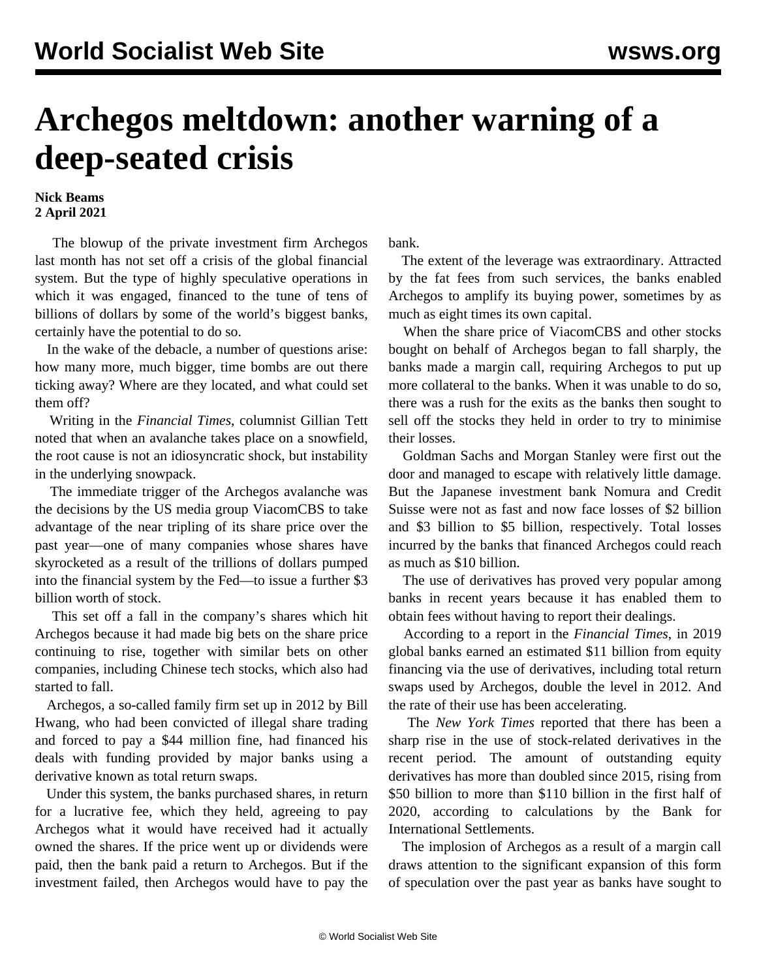## **Archegos meltdown: another warning of a deep-seated crisis**

## **Nick Beams 2 April 2021**

 The blowup of the private investment firm Archegos last month has not set off a crisis of the global financial system. But the type of highly speculative operations in which it was engaged, financed to the tune of tens of billions of dollars by some of the world's biggest banks, certainly have the potential to do so.

 In the wake of the debacle, a number of questions arise: how many more, much bigger, time bombs are out there ticking away? Where are they located, and what could set them off?

 Writing in the *Financial Times*, columnist Gillian Tett noted that when an avalanche takes place on a snowfield, the root cause is not an idiosyncratic shock, but instability in the underlying snowpack.

 The immediate trigger of the Archegos avalanche was the decisions by the US media group ViacomCBS to take advantage of the near tripling of its share price over the past year—one of many companies whose shares have skyrocketed as a result of the trillions of dollars pumped into the financial system by the Fed—to issue a further \$3 billion worth of stock.

 This set off a fall in the company's shares which hit Archegos because it had made big bets on the share price continuing to rise, together with similar bets on other companies, including Chinese tech stocks, which also had started to fall.

 Archegos, a so-called family firm set up in 2012 by Bill Hwang, who had been convicted of illegal share trading and forced to pay a \$44 million fine, had financed his deals with funding provided by major banks using a derivative known as total return swaps.

 Under this system, the banks purchased shares, in return for a lucrative fee, which they held, agreeing to pay Archegos what it would have received had it actually owned the shares. If the price went up or dividends were paid, then the bank paid a return to Archegos. But if the investment failed, then Archegos would have to pay the bank.

 The extent of the leverage was extraordinary. Attracted by the fat fees from such services, the banks enabled Archegos to amplify its buying power, sometimes by as much as eight times its own capital.

 When the share price of ViacomCBS and other stocks bought on behalf of Archegos began to fall sharply, the banks made a margin call, requiring Archegos to put up more collateral to the banks. When it was unable to do so, there was a rush for the exits as the banks then sought to sell off the stocks they held in order to try to minimise their losses.

 Goldman Sachs and Morgan Stanley were first out the door and managed to escape with relatively little damage. But the Japanese investment bank Nomura and Credit Suisse were not as fast and now face losses of \$2 billion and \$3 billion to \$5 billion, respectively. Total losses incurred by the banks that financed Archegos could reach as much as \$10 billion.

 The use of derivatives has proved very popular among banks in recent years because it has enabled them to obtain fees without having to report their dealings.

 According to a report in the *Financial Times*, in 2019 global banks earned an estimated \$11 billion from equity financing via the use of derivatives, including total return swaps used by Archegos, double the level in 2012. And the rate of their use has been accelerating.

 The *New York Times* reported that there has been a sharp rise in the use of stock-related derivatives in the recent period. The amount of outstanding equity derivatives has more than doubled since 2015, rising from \$50 billion to more than \$110 billion in the first half of 2020, according to calculations by the Bank for International Settlements.

 The implosion of Archegos as a result of a margin call draws attention to the significant expansion of this form of speculation over the past year as banks have sought to